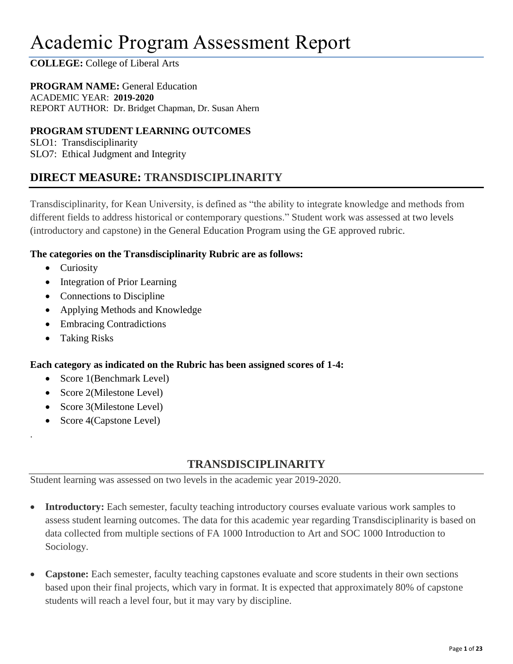# Academic Program Assessment Report

# **COLLEGE:** College of Liberal Arts

# **PROGRAM NAME:** General Education

ACADEMIC YEAR: **2019-2020** REPORT AUTHOR: Dr. Bridget Chapman, Dr. Susan Ahern

# **PROGRAM STUDENT LEARNING OUTCOMES**

SLO1: Transdisciplinarity SLO7: Ethical Judgment and Integrity

# **DIRECT MEASURE: TRANSDISCIPLINARITY**

Transdisciplinarity, for Kean University, is defined as "the ability to integrate knowledge and methods from different fields to address historical or contemporary questions." Student work was assessed at two levels (introductory and capstone) in the General Education Program using the GE approved rubric.

## **The categories on the Transdisciplinarity Rubric are as follows:**

- Curiosity
- Integration of Prior Learning
- Connections to Discipline
- Applying Methods and Knowledge
- Embracing Contradictions
- Taking Risks

.

## **Each category as indicated on the Rubric has been assigned scores of 1-4:**

- Score 1(Benchmark Level)
- Score 2(Milestone Level)
- Score 3(Milestone Level)
- Score 4(Capstone Level)

# **TRANSDISCIPLINARITY**

Student learning was assessed on two levels in the academic year 2019-2020.

- **Introductory:** Each semester, faculty teaching introductory courses evaluate various work samples to assess student learning outcomes. The data for this academic year regarding Transdisciplinarity is based on data collected from multiple sections of FA 1000 Introduction to Art and SOC 1000 Introduction to Sociology.
- **Capstone:** Each semester, faculty teaching capstones evaluate and score students in their own sections based upon their final projects, which vary in format. It is expected that approximately 80% of capstone students will reach a level four, but it may vary by discipline.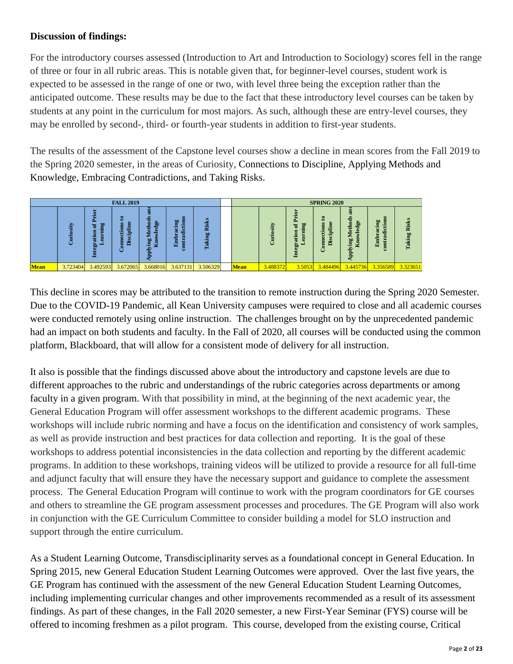# **Discussion of findings:**

For the introductory courses assessed (Introduction to Art and Introduction to Sociology) scores fell in the range of three or four in all rubric areas. This is notable given that, for beginner-level courses, student work is expected to be assessed in the range of one or two, with level three being the exception rather than the anticipated outcome. These results may be due to the fact that these introductory level courses can be taken by students at any point in the curriculum for most majors. As such, although these are entry-level courses, they may be enrolled by second-, third- or fourth-year students in addition to first-year students.

The results of the assessment of the Capstone level courses show a decline in mean scores from the Fall 2019 to the Spring 2020 semester, in the areas of Curiosity, Connections to Discipline, Applying Methods and Knowledge, Embracing Contradictions, and Taking Risks.



This decline in scores may be attributed to the transition to remote instruction during the Spring 2020 Semester. Due to the COVID-19 Pandemic, all Kean University campuses were required to close and all academic courses were conducted remotely using online instruction. The challenges brought on by the unprecedented pandemic had an impact on both students and faculty. In the Fall of 2020, all courses will be conducted using the common platform, Blackboard, that will allow for a consistent mode of delivery for all instruction.

It also is possible that the findings discussed above about the introductory and capstone levels are due to different approaches to the rubric and understandings of the rubric categories across departments or among faculty in a given program. With that possibility in mind, at the beginning of the next academic year, the General Education Program will offer assessment workshops to the different academic programs. These workshops will include rubric norming and have a focus on the identification and consistency of work samples, as well as provide instruction and best practices for data collection and reporting. It is the goal of these workshops to address potential inconsistencies in the data collection and reporting by the different academic programs. In addition to these workshops, training videos will be utilized to provide a resource for all full-time and adjunct faculty that will ensure they have the necessary support and guidance to complete the assessment process. The General Education Program will continue to work with the program coordinators for GE courses and others to streamline the GE program assessment processes and procedures. The GE Program will also work in conjunction with the GE Curriculum Committee to consider building a model for SLO instruction and support through the entire curriculum. **Example 1.1**<br>
<br> **Example 1.1** and the set in several Balaction Formal Music Consider building in model (and the set in the set in the set in the set in the set in the set in the set in the set in the set in the set in th

As a Student Learning Outcome, Transdisciplinarity serves as a foundational concept in General Education. In Spring 2015, new General Education Student Learning Outcomes were approved. Over the last five years, the GE Program has continued with the assessment of the new General Education Student Learning Outcomes, including implementing curricular changes and other improvements recommended as a result of its assessment findings. As part of these changes, in the Fall 2020 semester, a new First-Year Seminar (FYS) course will be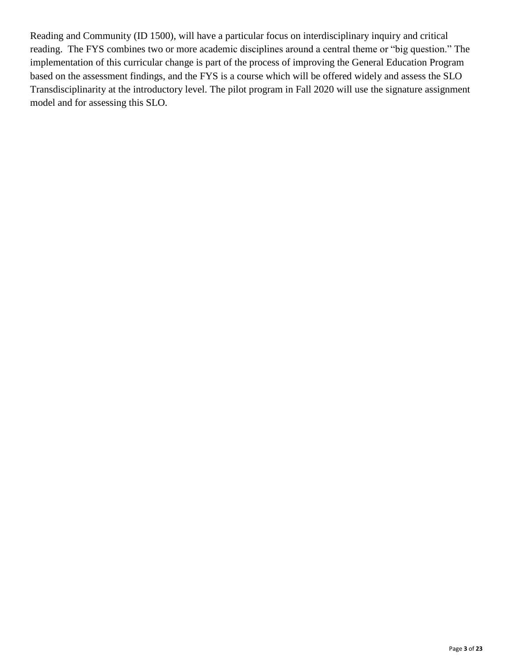Reading and Community (ID 1500), will have a particular focus on interdisciplinary inquiry and critical reading. The FYS combines two or more academic disciplines around a central theme or "big question." The implementation of this curricular change is part of the process of improving the General Education Program based on the assessment findings, and the FYS is a course which will be offered widely and assess the SLO Transdisciplinarity at the introductory level. The pilot program in Fall 2020 will use the signature assignment model and for assessing this SLO.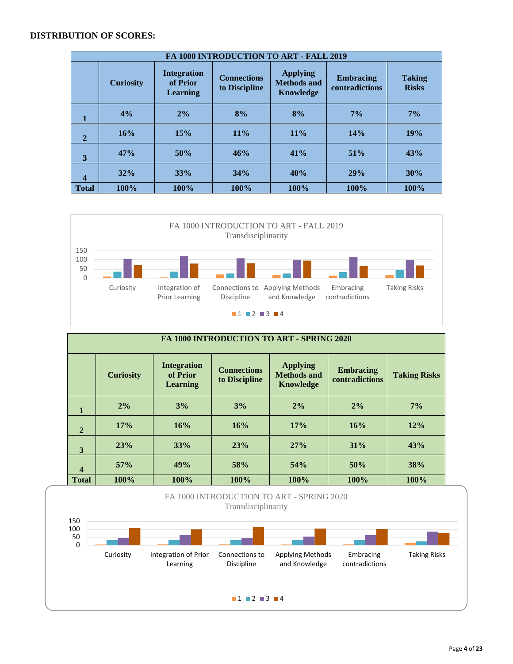#### **DISTRIBUTION OF SCORES:**

|              |                  |                                                   | FA 1000 INTRODUCTION TO ART - FALL 2019 |                                                           |                                    |                               |
|--------------|------------------|---------------------------------------------------|-----------------------------------------|-----------------------------------------------------------|------------------------------------|-------------------------------|
|              | <b>Curiosity</b> | <b>Integration</b><br>of Prior<br><b>Learning</b> |                                         | <b>Applying</b><br><b>Methods and</b><br><b>Knowledge</b> | <b>Embracing</b><br>contradictions | <b>Taking</b><br><b>Risks</b> |
| 1            | 4%               | 2%                                                | 8%                                      | 8%                                                        | 7%                                 | $7\%$                         |
| $\mathbf{2}$ | 16%              | 15%                                               | $11\%$                                  | 11%                                                       | 14%                                | 19%                           |
| 3            | 47%              | 50%                                               | 46%                                     | 41%                                                       | 51%                                | 43%                           |
| 4            | 32%              | 33%                                               | 34%                                     | 40%                                                       | 29%                                | 30%                           |
| <b>Total</b> | 100%             | 100%                                              | 100%                                    | 100%                                                      | 100%                               | 100%                          |



|                         | FA 1000 INTRODUCTION TO ART - SPRING 2020 |                                                   |                                     |                                                           |                                    |                     |  |  |  |  |  |  |
|-------------------------|-------------------------------------------|---------------------------------------------------|-------------------------------------|-----------------------------------------------------------|------------------------------------|---------------------|--|--|--|--|--|--|
|                         | <b>Curiosity</b>                          | <b>Integration</b><br>of Prior<br><b>Learning</b> | <b>Connections</b><br>to Discipline | <b>Applying</b><br><b>Methods and</b><br><b>Knowledge</b> | <b>Embracing</b><br>contradictions | <b>Taking Risks</b> |  |  |  |  |  |  |
| 1                       | 2%                                        | 3%                                                | 3%                                  | 2%                                                        | 2%                                 | $7\%$               |  |  |  |  |  |  |
| $\overline{2}$          | 17%                                       | 16%                                               | 16%                                 | 17%                                                       | 16%                                | 12%                 |  |  |  |  |  |  |
| 3                       | 23%                                       | 33%                                               | 23%                                 | 27%                                                       | 31%                                | 43%                 |  |  |  |  |  |  |
| $\overline{\mathbf{4}}$ | 57%                                       | 49%                                               | 58%                                 | 54%                                                       | 50%                                | 38%                 |  |  |  |  |  |  |
| <b>Total</b>            | 100%                                      | 100%                                              | 100%                                | 100%                                                      | 100%                               | 100%                |  |  |  |  |  |  |



#### Page **4** of **23**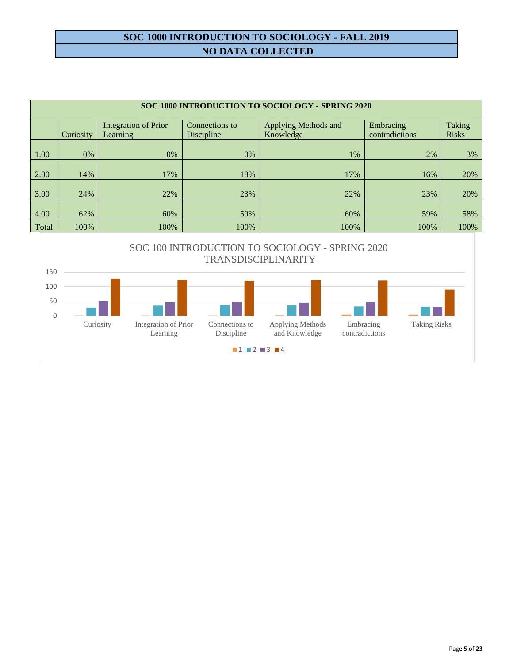# **SOC 1000 INTRODUCTION TO SOCIOLOGY - FALL 2019 NO DATA COLLECTED**

|       |           |                             |                                   | SOC 1000 INTRODUCTION TO SOCIOLOGY - SPRING 2020 |                |              |
|-------|-----------|-----------------------------|-----------------------------------|--------------------------------------------------|----------------|--------------|
|       |           |                             |                                   |                                                  |                |              |
|       |           | <b>Integration of Prior</b> | Connections to                    | Applying Methods and                             | Embracing      | Taking       |
|       | Curiosity | <b>Learning</b>             | <b>Discipline</b>                 | Knowledge                                        | contradictions | <b>Risks</b> |
|       |           |                             |                                   |                                                  |                |              |
| 1.00  | 0%        | 0%                          | 0%                                | 1%                                               | 2%             | 3%           |
|       |           |                             |                                   |                                                  |                |              |
| 2.00  | 14%       | 17%                         | 18%                               | 17%                                              | 16%            | 20%          |
|       |           |                             |                                   |                                                  |                |              |
| 3.00  | 24%       | 22%                         | 23%                               | 22%                                              | 23%            | 20%          |
|       |           |                             |                                   |                                                  |                |              |
| 4.00  | 62%       | 60%                         | 59%                               | 60%                                              | 59%            | 58%          |
| Total | 100%      | 100%                        | 100%                              | 100%                                             | 100%           | 100%         |
|       |           |                             |                                   |                                                  |                |              |
|       |           |                             | SOC 100 INTRODUCTION TO SOCIOLOGY | SPDING 2020                                      |                |              |

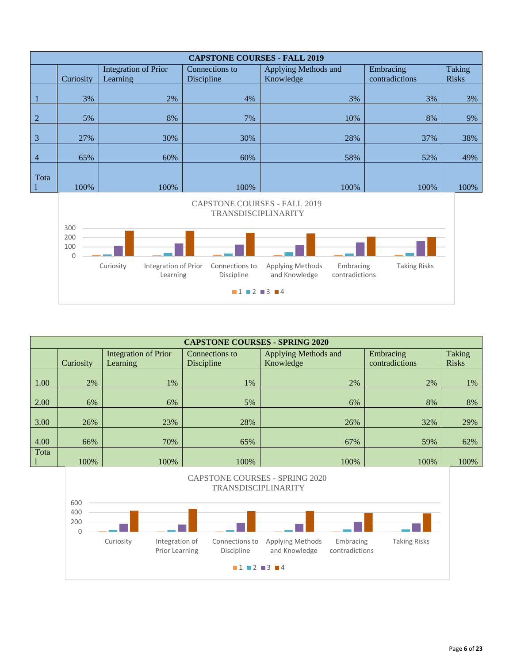|                | <b>CAPSTONE COURSES - FALL 2019</b> |                      |                |                      |                |              |  |  |  |  |  |  |  |
|----------------|-------------------------------------|----------------------|----------------|----------------------|----------------|--------------|--|--|--|--|--|--|--|
|                |                                     | Integration of Prior | Connections to | Applying Methods and | Embracing      | Taking       |  |  |  |  |  |  |  |
|                | Curiosity                           | Learning             | Discipline     | Knowledge            | contradictions | <b>Risks</b> |  |  |  |  |  |  |  |
|                |                                     |                      |                |                      |                |              |  |  |  |  |  |  |  |
|                | 3%                                  | 2%                   | 4%             | 3%                   | 3%             | 3%           |  |  |  |  |  |  |  |
|                |                                     |                      |                |                      |                |              |  |  |  |  |  |  |  |
| $\overline{2}$ | 5%                                  | 8%                   | 7%             | 10%                  | 8%             | 9%           |  |  |  |  |  |  |  |
|                |                                     |                      |                |                      |                |              |  |  |  |  |  |  |  |
| 3              | 27%                                 | 30%                  | 30%            | 28%                  | 37%            | 38%          |  |  |  |  |  |  |  |
|                |                                     |                      |                |                      |                |              |  |  |  |  |  |  |  |
| $\overline{4}$ | 65%                                 | 60%                  | 60%            | 58%                  | 52%            | 49%          |  |  |  |  |  |  |  |
|                |                                     |                      |                |                      |                |              |  |  |  |  |  |  |  |
| Tota           |                                     |                      |                |                      |                |              |  |  |  |  |  |  |  |
|                | 100%                                | 100%                 | 100%           | 100%                 | 100%           | 100%         |  |  |  |  |  |  |  |



|      |           |                             | <b>CAPSTONE COURSES - SPRING 2020</b> |                      |                |              |
|------|-----------|-----------------------------|---------------------------------------|----------------------|----------------|--------------|
|      |           | <b>Integration of Prior</b> | Connections to                        | Applying Methods and | Embracing      | Taking       |
|      | Curiosity | Learning                    | Discipline                            | Knowledge            | contradictions | <b>Risks</b> |
|      |           |                             |                                       |                      |                |              |
| 1.00 | 2%        | 1%                          | $1\%$                                 | 2%                   | 2%             | 1%           |
|      |           |                             |                                       |                      |                |              |
| 2.00 | 6%        | 6%                          | 5%                                    | 6%                   | 8%             | 8%           |
|      |           |                             |                                       |                      |                |              |
| 3.00 | 26%       | 23%                         | 28%                                   | 26%                  | 32%            | 29%          |
|      |           |                             |                                       |                      |                |              |
| 4.00 | 66%       | 70%                         | 65%                                   | 67%                  | 59%            | 62%          |
| Tota |           |                             |                                       |                      |                |              |
|      | 100%      | 100%                        | 100%                                  | 100%                 | 100%           | 100%         |

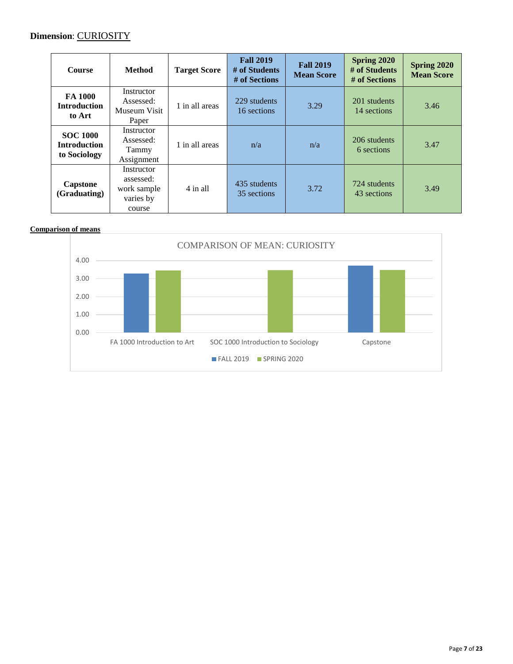## **Dimension**: CURIOSITY

| <b>Course</b>                                          | <b>Method</b>                                                 | <b>Target Score</b> | <b>Fall 2019</b><br># of Students<br># of Sections | <b>Fall 2019</b><br><b>Mean Score</b> | Spring 2020<br># of Students<br># of Sections | Spring 2020<br><b>Mean Score</b> |
|--------------------------------------------------------|---------------------------------------------------------------|---------------------|----------------------------------------------------|---------------------------------------|-----------------------------------------------|----------------------------------|
| FA 1000<br><b>Introduction</b><br>to Art               | Instructor<br>Assessed:<br>Museum Visit<br>Paper              | 1 in all areas      | 229 students<br>16 sections                        | 3.29                                  | 201 students<br>14 sections                   | 3.46                             |
| <b>SOC 1000</b><br><b>Introduction</b><br>to Sociology | Instructor<br>Assessed:<br>Tammy<br>Assignment                | 1 in all areas      | n/a                                                | n/a                                   | 206 students<br>6 sections                    | 3.47                             |
| Capstone<br>(Graduating)                               | Instructor<br>assessed:<br>work sample<br>varies by<br>course | 4 in all            | 435 students<br>35 sections                        | 3.72                                  | 724 students<br>43 sections                   | 3.49                             |

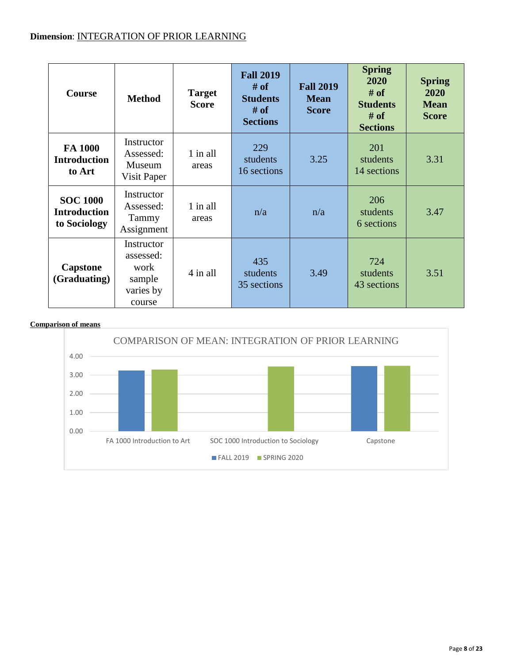# **Dimension**: INTEGRATION OF PRIOR LEARNING

| Course                                                                                                                        | <b>Target</b><br><b>Method</b><br><b>Score</b>                   |                   | <b>Fall 2019</b><br><b>Fall 2019</b><br># of<br><b>Students</b><br><b>Mean</b><br># of<br><b>Score</b><br><b>Sections</b> |                               | <b>Spring</b><br>2020<br># of<br><b>Students</b><br># of<br><b>Sections</b> | <b>Spring</b><br>2020<br><b>Mean</b><br><b>Score</b> |
|-------------------------------------------------------------------------------------------------------------------------------|------------------------------------------------------------------|-------------------|---------------------------------------------------------------------------------------------------------------------------|-------------------------------|-----------------------------------------------------------------------------|------------------------------------------------------|
| FA 1000<br><b>Introduction</b><br>to Art                                                                                      | Instructor<br>Assessed:<br>Museum<br>Visit Paper                 | 1 in all<br>areas | 229<br>students<br>16 sections                                                                                            | 3.25                          | 201<br>students<br>14 sections                                              | 3.31                                                 |
| Instructor<br><b>SOC 1000</b><br>1 in all<br>Assessed:<br><b>Introduction</b><br>Tammy<br>areas<br>to Sociology<br>Assignment |                                                                  | n/a<br>n/a        |                                                                                                                           | 206<br>students<br>6 sections | 3.47                                                                        |                                                      |
| <b>Capstone</b><br>(Graduating)                                                                                               | Instructor<br>assessed:<br>work<br>sample<br>varies by<br>course | 4 in all          | 435<br>students<br>35 sections                                                                                            | 3.49                          | 724<br>students<br>43 sections                                              | 3.51                                                 |

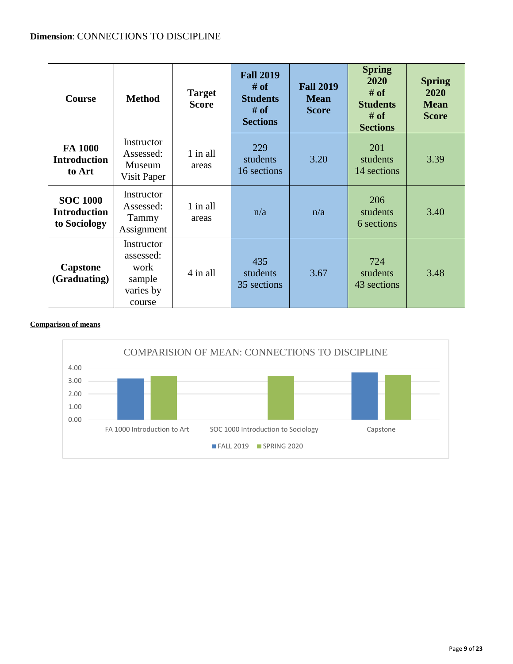## **Dimension**: CONNECTIONS TO DISCIPLINE

| <b>Course</b>                                          | <b>Target</b><br><b>Method</b><br><b>Score</b>                   |                   | <b>Fall 2019</b><br># of<br><b>Students</b><br># of<br><b>Sections</b> | <b>Fall 2019</b><br><b>Mean</b><br><b>Score</b> | <b>Spring</b><br>2020<br># of<br><b>Students</b><br># of<br><b>Sections</b> | <b>Spring</b><br>2020<br><b>Mean</b><br><b>Score</b> |
|--------------------------------------------------------|------------------------------------------------------------------|-------------------|------------------------------------------------------------------------|-------------------------------------------------|-----------------------------------------------------------------------------|------------------------------------------------------|
| FA 1000<br><b>Introduction</b><br>to Art               | Instructor<br>Assessed:<br>Museum<br>Visit Paper                 | 1 in all<br>areas | 229<br>students<br>16 sections                                         | 3.20                                            | 201<br>students<br>14 sections                                              | 3.39                                                 |
| <b>SOC 1000</b><br><b>Introduction</b><br>to Sociology | Instructor<br>Assessed:<br>Tammy<br>Assignment                   | 1 in all<br>areas | n/a                                                                    | n/a                                             | 206<br>students<br>6 sections                                               | 3.40                                                 |
| Capstone<br>(Graduating)                               | Instructor<br>assessed:<br>work<br>sample<br>varies by<br>course | 4 in all          | 435<br>students<br>35 sections                                         | 3.67                                            | 724<br>students<br>43 sections                                              | 3.48                                                 |

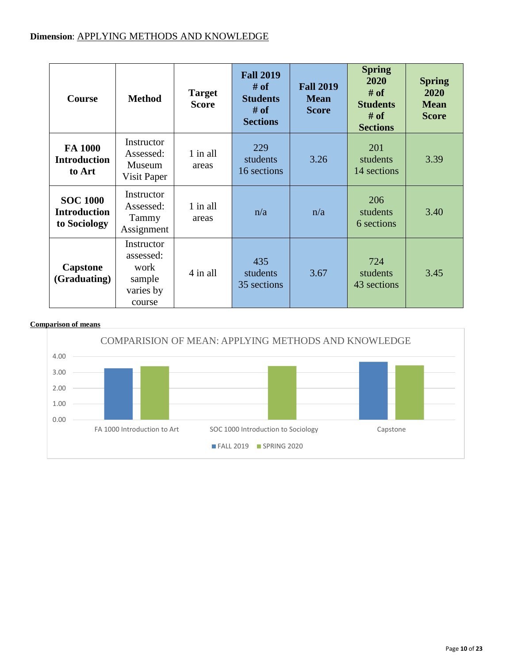| <b>Course</b>                                          | <b>Target</b><br><b>Method</b><br><b>Score</b>                   |                   | <b>Fall 2019</b><br># of<br><b>Students</b><br># of<br><b>Sections</b> | <b>Fall 2019</b><br><b>Mean</b><br><b>Score</b> | <b>Spring</b><br>2020<br># of<br><b>Students</b><br># of<br><b>Sections</b> | <b>Spring</b><br>2020<br><b>Mean</b><br><b>Score</b> |
|--------------------------------------------------------|------------------------------------------------------------------|-------------------|------------------------------------------------------------------------|-------------------------------------------------|-----------------------------------------------------------------------------|------------------------------------------------------|
| FA 1000<br><b>Introduction</b><br>to Art               | Instructor<br>Assessed:<br>Museum<br>Visit Paper                 | 1 in all<br>areas | 229<br>students<br>16 sections                                         | 3.26                                            | 201<br>students<br>14 sections                                              | 3.39                                                 |
| <b>SOC 1000</b><br><b>Introduction</b><br>to Sociology | Instructor<br>Assessed:<br>Tammy<br>Assignment                   | 1 in all<br>areas | n/a                                                                    | n/a                                             | 206<br>students<br>6 sections                                               | 3.40                                                 |
| <b>Capstone</b><br>(Graduating)                        | Instructor<br>assessed:<br>work<br>sample<br>varies by<br>course | 4 in all          | 435<br>students<br>35 sections                                         | 3.67                                            | 724<br>students<br>43 sections                                              | 3.45                                                 |

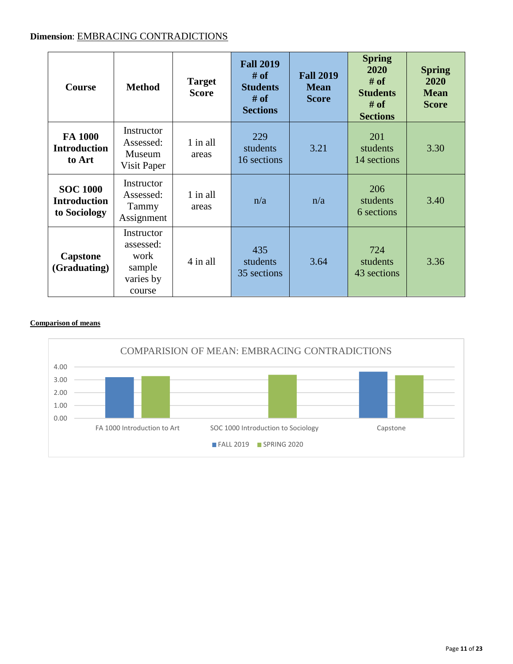# **Dimension**: EMBRACING CONTRADICTIONS

| <b>Course</b>                                          | <b>Method</b>                                                       | <b>Target</b><br><b>Score</b> | <b>Fall 2019</b><br># of<br><b>Students</b><br># of<br><b>Sections</b> | <b>Fall 2019</b><br><b>Mean</b><br><b>Score</b> |                                | <b>Spring</b><br>2020<br><b>Mean</b><br><b>Score</b> |
|--------------------------------------------------------|---------------------------------------------------------------------|-------------------------------|------------------------------------------------------------------------|-------------------------------------------------|--------------------------------|------------------------------------------------------|
| FA 1000<br><b>Introduction</b><br>to Art               | Instructor<br>Assessed:<br>Museum<br>Visit Paper                    | 1 in all<br>areas             | 229<br>students<br>16 sections                                         | 3.21                                            | 201<br>students<br>14 sections | 3.30                                                 |
| <b>SOC 1000</b><br><b>Introduction</b><br>to Sociology | Instructor<br>1 in all<br>Assessed:<br>Tammy<br>areas<br>Assignment |                               | n/a                                                                    | n/a                                             | 206<br>students<br>6 sections  | 3.40                                                 |
| Capstone<br>(Graduating)                               | Instructor<br>assessed:<br>work<br>sample<br>varies by<br>course    | 4 in all                      | 435<br>students<br>35 sections                                         | 3.64                                            | 724<br>students<br>43 sections | 3.36                                                 |

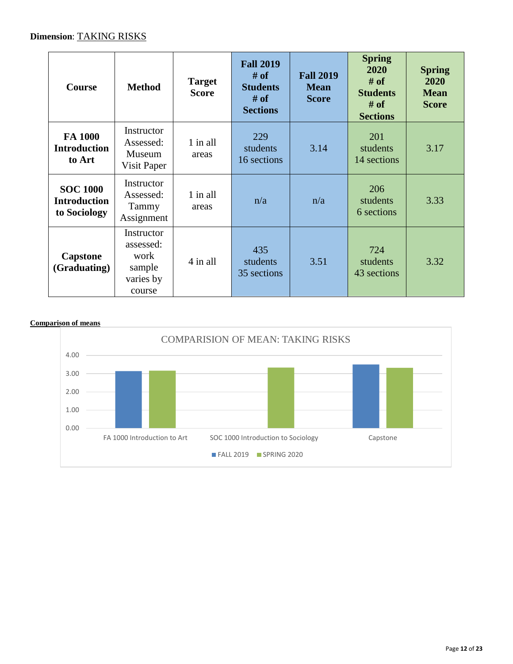# **Dimension**: TAKING RISKS

| <b>Course</b>                                                                                            | <b>Target</b><br><b>Method</b><br><b>Score</b>                   |                   | <b>Fall 2019</b><br># of<br><b>Students</b><br># of<br><b>Sections</b> | <b>Fall 2019</b><br><b>Mean</b><br><b>Score</b> | <b>Spring</b><br>2020<br># of<br><b>Students</b><br># of<br><b>Sections</b> | <b>Spring</b><br>2020<br><b>Mean</b><br><b>Score</b> |
|----------------------------------------------------------------------------------------------------------|------------------------------------------------------------------|-------------------|------------------------------------------------------------------------|-------------------------------------------------|-----------------------------------------------------------------------------|------------------------------------------------------|
| FA 1000<br><b>Introduction</b><br>to Art                                                                 | Instructor<br>Assessed:<br>Museum<br>Visit Paper                 | 1 in all<br>areas | 229<br>students<br>16 sections                                         | 3.14                                            | 201<br>students<br>14 sections                                              | 3.17                                                 |
| Instructor<br><b>SOC 1000</b><br>Assessed:<br><b>Introduction</b><br>Tammy<br>to Sociology<br>Assignment |                                                                  | 1 in all<br>areas | n/a                                                                    | n/a                                             | 206<br>students<br>6 sections                                               | 3.33                                                 |
| Capstone<br>(Graduating)                                                                                 | Instructor<br>assessed:<br>work<br>sample<br>varies by<br>course | 4 in all          | 435<br>students<br>35 sections                                         | 3.51                                            | 724<br>students<br>43 sections                                              | 3.32                                                 |

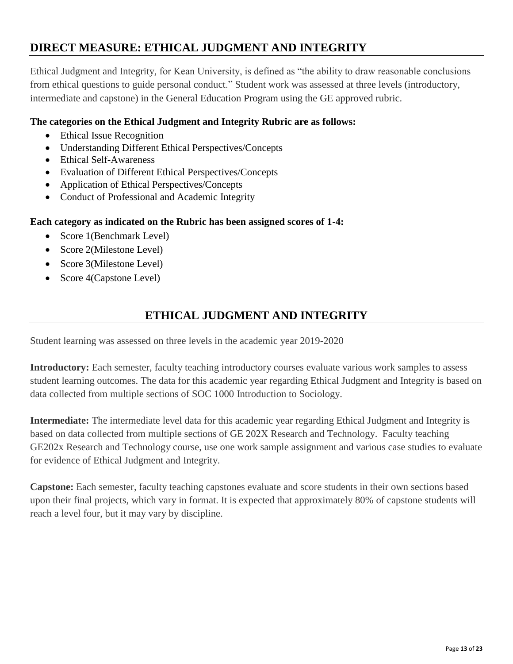# **DIRECT MEASURE: ETHICAL JUDGMENT AND INTEGRITY**

Ethical Judgment and Integrity, for Kean University, is defined as "the ability to draw reasonable conclusions from ethical questions to guide personal conduct." Student work was assessed at three levels (introductory, intermediate and capstone) in the General Education Program using the GE approved rubric.

# **The categories on the Ethical Judgment and Integrity Rubric are as follows:**

- Ethical Issue Recognition
- Understanding Different Ethical Perspectives/Concepts
- Ethical Self-Awareness
- Evaluation of Different Ethical Perspectives/Concepts
- Application of Ethical Perspectives/Concepts
- Conduct of Professional and Academic Integrity

## **Each category as indicated on the Rubric has been assigned scores of 1-4:**

- Score 1(Benchmark Level)
- Score 2(Milestone Level)
- Score 3(Milestone Level)
- Score 4(Capstone Level)

# **ETHICAL JUDGMENT AND INTEGRITY**

Student learning was assessed on three levels in the academic year 2019-2020

**Introductory:** Each semester, faculty teaching introductory courses evaluate various work samples to assess student learning outcomes. The data for this academic year regarding Ethical Judgment and Integrity is based on data collected from multiple sections of SOC 1000 Introduction to Sociology.

**Intermediate:** The intermediate level data for this academic year regarding Ethical Judgment and Integrity is based on data collected from multiple sections of GE 202X Research and Technology. Faculty teaching GE202x Research and Technology course, use one work sample assignment and various case studies to evaluate for evidence of Ethical Judgment and Integrity.

**Capstone:** Each semester, faculty teaching capstones evaluate and score students in their own sections based upon their final projects, which vary in format. It is expected that approximately 80% of capstone students will reach a level four, but it may vary by discipline.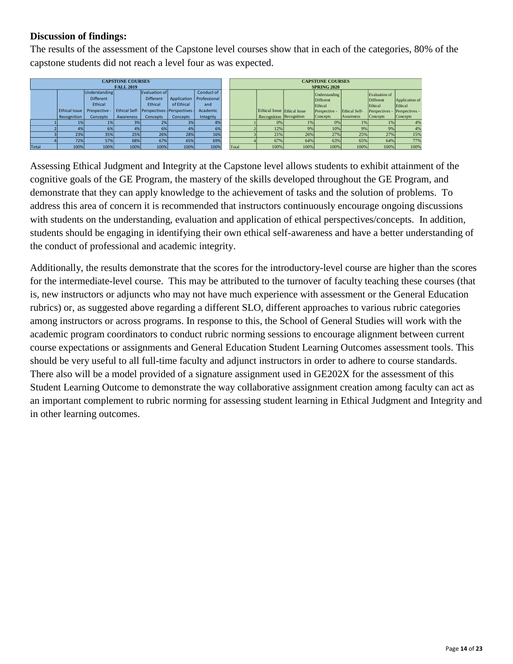## **Discussion of findings:**

The results of the assessment of the Capstone level courses show that in each of the categories, 80% of the capstone students did not reach a level four as was expected.

|              |               |                  | <b>CAPSTONE COURSES</b><br><b>FALL 2019</b> |                                               |             |              | <b>CAPSTONE COURSES</b><br><b>SPRING 2020</b> |                             |      |                      |                      |               |                |
|--------------|---------------|------------------|---------------------------------------------|-----------------------------------------------|-------------|--------------|-----------------------------------------------|-----------------------------|------|----------------------|----------------------|---------------|----------------|
|              |               | Understanding    |                                             | Evaluation of                                 |             | Conduct of   |                                               |                             |      | <b>Understanding</b> |                      | Evaluation of |                |
|              |               | <b>Different</b> |                                             | <b>Different</b>                              | Application | Professional |                                               |                             |      | Different            |                      | Different     | Application of |
|              |               | Ethical          |                                             | Ethical                                       | of Ethical  | and          |                                               |                             |      | Ethical              |                      | Ethical       | Ethical        |
|              | Ethical Issue | Prespective -    |                                             | Ethical Self-   Perspectives - Perspectives - |             | Academic     |                                               | Ethical Issue Ethical Issue |      | Prespective          | <b>Ethical Self-</b> | Perspectives  | Perspectives - |
|              | Recognition   | Concepts         | Awareness                                   | Concepts                                      | Concepts    | Integrity    |                                               | Recognition Recognition     |      | Concepts             | Awareness            | Concepts      | Concepts       |
|              | 1%            | 1%               | 3%                                          | 2%                                            | 3%          | 8%           |                                               | 0%                          | 1%   | 0%                   | 1%                   | 1%            | 4%             |
|              | 4%            | 6%               | 4%                                          | 6%                                            | 4%          | 6%           |                                               | 12%                         | 9%   | 10%                  | 9%1                  | 9%            | 4%             |
|              | 23%           | 35%              | 25%                                         | 26%                                           | 28%         | 16%          |                                               | 21%                         | 26%  | 27%                  | 25%                  | 27%           | 15%            |
|              | 72%           | 57%              | 68%                                         | 67%                                           | 65%         | 69%          |                                               | 67%                         | 64%  | 63%                  | 65%                  | 64%           | 77%            |
| <b>Total</b> | 100%          | 100%             | 100%                                        | 100%                                          | 100%        | 100%         | Total                                         | 100%                        | 100% | 100%                 | 100%                 | 100%          | 100%           |

Assessing Ethical Judgment and Integrity at the Capstone level allows students to exhibit attainment of the cognitive goals of the GE Program, the mastery of the skills developed throughout the GE Program, and demonstrate that they can apply knowledge to the achievement of tasks and the solution of problems. To address this area of concern it is recommended that instructors continuously encourage ongoing discussions with students on the understanding, evaluation and application of ethical perspectives/concepts. In addition, students should be engaging in identifying their own ethical self-awareness and have a better understanding of the conduct of professional and academic integrity.

Additionally, the results demonstrate that the scores for the introductory-level course are higher than the scores for the intermediate-level course. This may be attributed to the turnover of faculty teaching these courses (that is, new instructors or adjuncts who may not have much experience with assessment or the General Education rubrics) or, as suggested above regarding a different SLO, different approaches to various rubric categories among instructors or across programs. In response to this, the School of General Studies will work with the academic program coordinators to conduct rubric norming sessions to encourage alignment between current course expectations or assignments and General Education Student Learning Outcomes assessment tools. This should be very useful to all full-time faculty and adjunct instructors in order to adhere to course standards. There also will be a model provided of a signature assignment used in GE202X for the assessment of this Student Learning Outcome to demonstrate the way collaborative assignment creation among faculty can act as an important complement to rubric norming for assessing student learning in Ethical Judgment and Integrity and in other learning outcomes.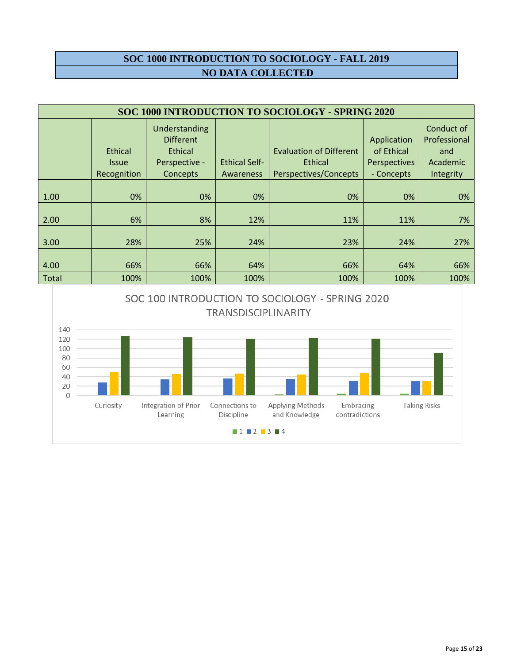# **SOC 1000 INTRODUCTION TO SOCIOLOGY - FALL 2019 NO DATA COLLECTED**

|              | SOC 1000 INTRODUCTION TO SOCIOLOGY - SPRING 2020 |                                                                                  |                                   |                                                                    |                                                         |                                                            |  |  |  |  |
|--------------|--------------------------------------------------|----------------------------------------------------------------------------------|-----------------------------------|--------------------------------------------------------------------|---------------------------------------------------------|------------------------------------------------------------|--|--|--|--|
|              | Ethical<br><b>Issue</b><br>Recognition           | <b>Understanding</b><br><b>Different</b><br>Ethical<br>Perspective -<br>Concepts | <b>Ethical Self-</b><br>Awareness | <b>Evaluation of Different</b><br>Ethical<br>Perspectives/Concepts | Application<br>of Ethical<br>Perspectives<br>- Concepts | Conduct of<br>Professional<br>and<br>Academic<br>Integrity |  |  |  |  |
| 1.00         | 0%                                               | 0%                                                                               | 0%                                | 0%                                                                 | 0%                                                      | 0%                                                         |  |  |  |  |
| 2.00         | 6%                                               | 8%                                                                               | 12%                               | 11%                                                                | 11%                                                     | 7%                                                         |  |  |  |  |
| 3.00         | 28%                                              | 25%                                                                              | 24%                               | 23%                                                                | 24%                                                     | 27%                                                        |  |  |  |  |
| 4.00         | 66%                                              | 66%                                                                              | 64%                               | 66%                                                                | 64%                                                     | 66%                                                        |  |  |  |  |
| <b>Total</b> | 100%                                             | 100%                                                                             | 100%                              | 100%                                                               | 100%                                                    | 100%                                                       |  |  |  |  |

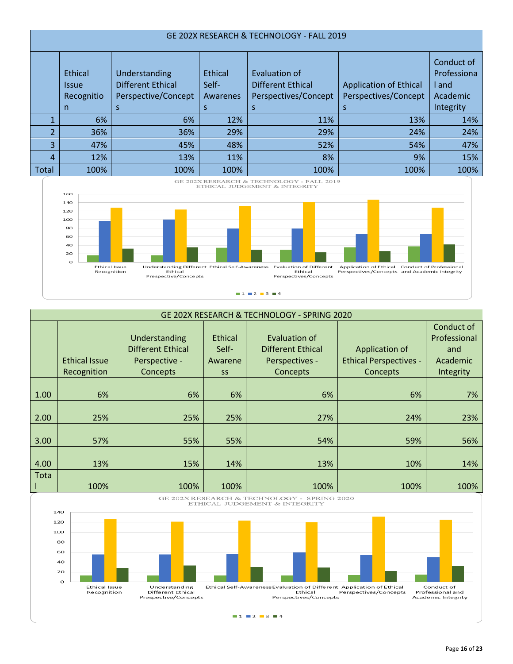|                          | GE 202X RESEARCH & TECHNOLOGY - FALL 2019 |                                                                  |                              |                                                            |                                                       |                                                |  |  |  |  |  |
|--------------------------|-------------------------------------------|------------------------------------------------------------------|------------------------------|------------------------------------------------------------|-------------------------------------------------------|------------------------------------------------|--|--|--|--|--|
|                          | Ethical<br><b>Issue</b><br>Recognitio     | Understanding<br><b>Different Ethical</b><br>Perspective/Concept | Ethical<br>Self-<br>Awarenes | Evaluation of<br>Different Ethical<br>Perspectives/Concept | <b>Application of Ethical</b><br>Perspectives/Concept | Conduct of<br>Professiona<br>I and<br>Academic |  |  |  |  |  |
|                          | n.                                        | S                                                                |                              |                                                            | S                                                     | Integrity                                      |  |  |  |  |  |
|                          | 6%                                        | 6%                                                               | 12%                          | 11%                                                        | 13%                                                   | 14%                                            |  |  |  |  |  |
| $\overline{\mathcal{L}}$ | 36%                                       | 36%                                                              | 29%                          | 29%                                                        | 24%                                                   | 24%                                            |  |  |  |  |  |
| 3                        | 47%                                       | 45%                                                              | 48%                          | 52%                                                        | 54%                                                   | 47%                                            |  |  |  |  |  |
| 4                        | 12%                                       | 13%                                                              | 11%                          | 8%                                                         | 9%                                                    | 15%                                            |  |  |  |  |  |
| Total                    | 100%                                      | 100%                                                             | 100%                         | 100%                                                       | 100%                                                  | 100%                                           |  |  |  |  |  |





|      | GE 202X RESEARCH & TECHNOLOGY - SPRING 2020 |                                                                 |                                                 |                                                                         |                                                             |                                                            |  |  |  |
|------|---------------------------------------------|-----------------------------------------------------------------|-------------------------------------------------|-------------------------------------------------------------------------|-------------------------------------------------------------|------------------------------------------------------------|--|--|--|
|      | <b>Ethical Issue</b><br>Recognition         | Understanding<br>Different Ethical<br>Perspective -<br>Concepts | <b>Ethical</b><br>Self-<br>Awarene<br><b>SS</b> | <b>Evaluation of</b><br>Different Ethical<br>Perspectives -<br>Concepts | Application of<br><b>Ethical Perspectives -</b><br>Concepts | Conduct of<br>Professional<br>and<br>Academic<br>Integrity |  |  |  |
| 1.00 | 6%                                          | 6%                                                              | 6%                                              | 6%                                                                      | 6%                                                          | 7%                                                         |  |  |  |
| 2.00 | 25%                                         | 25%                                                             | 25%                                             | 27%                                                                     | 24%                                                         | 23%                                                        |  |  |  |
| 3.00 | 57%                                         | 55%                                                             | 55%                                             | 54%                                                                     | 59%                                                         | 56%                                                        |  |  |  |
| 4.00 | 13%                                         | 15%                                                             | 14%                                             | 13%                                                                     | 10%                                                         | 14%                                                        |  |  |  |
| Tota | 100%                                        | 100%                                                            | 100%                                            | 100%                                                                    | 100%                                                        | 100%                                                       |  |  |  |

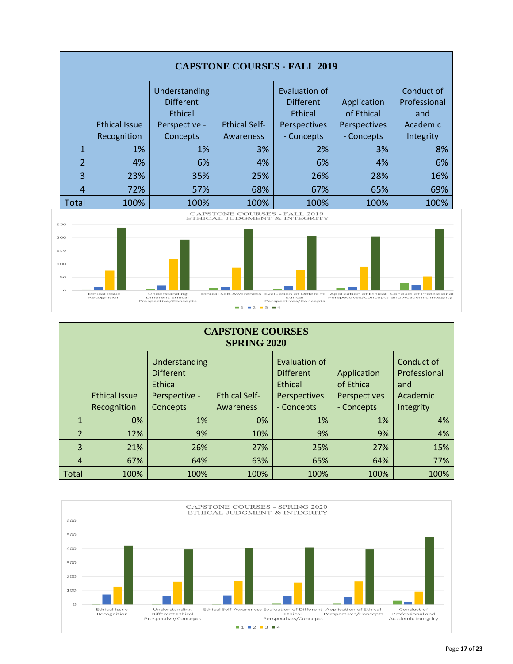



| <b>CAPSTONE COURSES</b><br><b>SPRING 2020</b> |                              |                                                                           |                                   |                                                                            |                                                         |                                                            |  |  |  |  |
|-----------------------------------------------|------------------------------|---------------------------------------------------------------------------|-----------------------------------|----------------------------------------------------------------------------|---------------------------------------------------------|------------------------------------------------------------|--|--|--|--|
|                                               | Ethical Issue<br>Recognition | Understanding<br><b>Different</b><br>Ethical<br>Perspective -<br>Concepts | <b>Ethical Self-</b><br>Awareness | Evaluation of<br><b>Different</b><br>Ethical<br>Perspectives<br>- Concepts | Application<br>of Ethical<br>Perspectives<br>- Concepts | Conduct of<br>Professional<br>and<br>Academic<br>Integrity |  |  |  |  |
| $\mathbf{1}$                                  | 0%                           | 1%                                                                        | 0%                                | 1%                                                                         | 1%                                                      | 4%                                                         |  |  |  |  |
| $\overline{2}$                                | 12%                          | 9%                                                                        | 10%                               | 9%                                                                         | 9%                                                      | 4%                                                         |  |  |  |  |
| 3                                             | 21%                          | 26%                                                                       | 27%                               | 25%                                                                        | 27%                                                     | 15%                                                        |  |  |  |  |
| 4                                             | 67%                          | 64%                                                                       | 63%                               | 65%                                                                        | 64%                                                     | 77%                                                        |  |  |  |  |
| Total                                         | 100%                         | 100%                                                                      | 100%                              | 100%                                                                       | 100%                                                    | 100%                                                       |  |  |  |  |

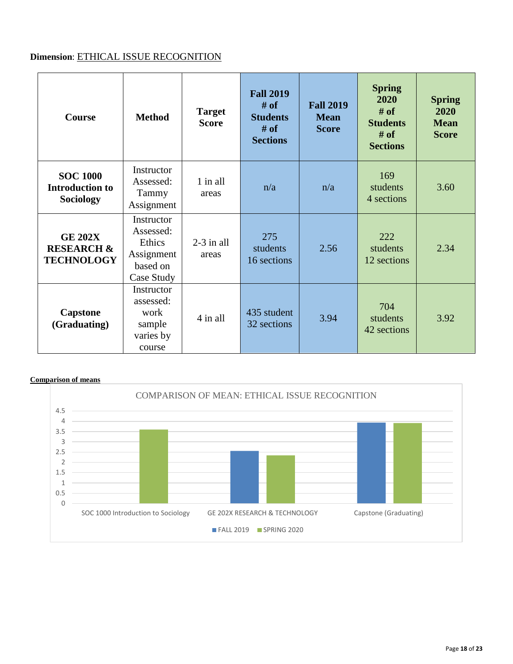# **Dimension**: ETHICAL ISSUE RECOGNITION

| <b>Course</b>                                                | <b>Method</b>                                                             | <b>Target</b><br><b>Score</b> | <b>Fall 2019</b><br>$#$ of<br><b>Students</b><br># of<br><b>Sections</b> | <b>Fall 2019</b><br><b>Mean</b><br><b>Score</b> | <b>Spring</b><br>2020<br>$#$ of<br><b>Students</b><br>$#$ of<br><b>Sections</b> | <b>Spring</b><br>2020<br><b>Mean</b><br><b>Score</b> |
|--------------------------------------------------------------|---------------------------------------------------------------------------|-------------------------------|--------------------------------------------------------------------------|-------------------------------------------------|---------------------------------------------------------------------------------|------------------------------------------------------|
| <b>SOC 1000</b><br><b>Introduction to</b><br>Sociology       | Instructor<br>Assessed:<br>Tammy<br>Assignment                            | $1$ in all<br>areas           | n/a                                                                      | n/a                                             | 169<br>students<br>4 sections                                                   | 3.60                                                 |
| <b>GE 202X</b><br><b>RESEARCH &amp;</b><br><b>TECHNOLOGY</b> | Instructor<br>Assessed:<br>Ethics<br>Assignment<br>based on<br>Case Study | $2-3$ in all<br>areas         | 275<br>students<br>16 sections                                           | 2.56                                            | 222<br>students<br>12 sections                                                  | 2.34                                                 |
| <b>Capstone</b><br>(Graduating)                              | Instructor<br>assessed:<br>work<br>sample<br>varies by<br>course          | $4$ in all                    | 435 student<br>32 sections                                               | 3.94                                            | 704<br>students<br>42 sections                                                  | 3.92                                                 |

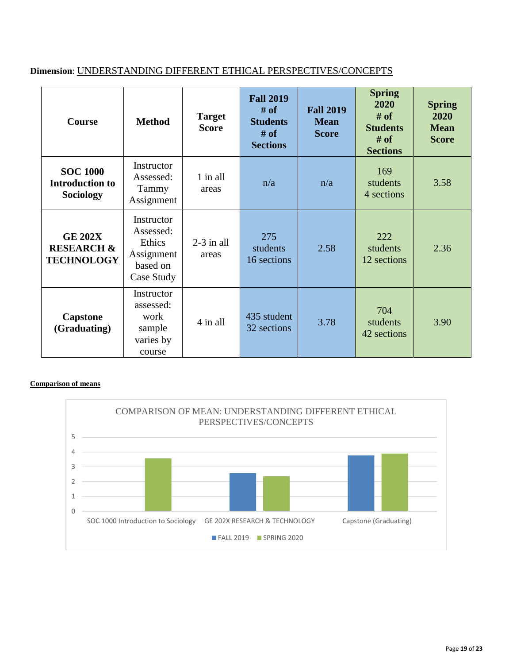# **Dimension**: UNDERSTANDING DIFFERENT ETHICAL PERSPECTIVES/CONCEPTS

| <b>Course</b>                                                | <b>Method</b>                                                             | <b>Target</b><br><b>Score</b> | <b>Fall 2019</b><br>$#$ of<br><b>Students</b><br>$#$ of<br><b>Sections</b> | <b>Fall 2019</b><br><b>Mean</b><br><b>Score</b> | <b>Spring</b><br>2020<br>$#$ of<br><b>Students</b><br># of<br><b>Sections</b> | <b>Spring</b><br>2020<br><b>Mean</b><br><b>Score</b> |
|--------------------------------------------------------------|---------------------------------------------------------------------------|-------------------------------|----------------------------------------------------------------------------|-------------------------------------------------|-------------------------------------------------------------------------------|------------------------------------------------------|
| <b>SOC 1000</b><br><b>Introduction to</b><br>Sociology       | Instructor<br>Assessed:<br>Tammy<br>Assignment                            | 1 in all<br>areas             | n/a                                                                        | n/a                                             | 169<br>students<br>4 sections                                                 | 3.58                                                 |
| <b>GE 202X</b><br><b>RESEARCH &amp;</b><br><b>TECHNOLOGY</b> | Instructor<br>Assessed:<br>Ethics<br>Assignment<br>based on<br>Case Study | $2-3$ in all<br>areas         | 275<br>students<br>16 sections                                             | 2.58                                            | 222<br>students<br>12 sections                                                | 2.36                                                 |
| <b>Capstone</b><br>(Graduating)                              | Instructor<br>assessed:<br>work<br>sample<br>varies by<br>course          | 4 in all                      | 435 student<br>32 sections                                                 | 3.78                                            | 704<br>students<br>42 sections                                                | 3.90                                                 |

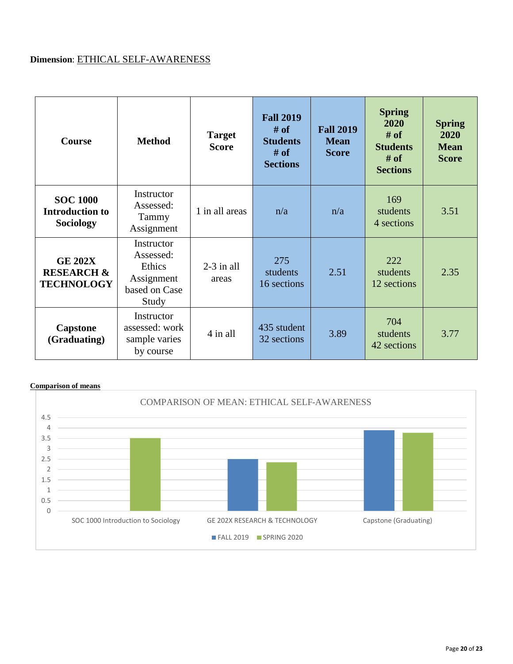# **Dimension**: ETHICAL SELF-AWARENESS

| <b>Course</b>                                                 | <b>Method</b>                                                             | <b>Target</b><br><b>Score</b> | <b>Fall 2019</b><br># of<br><b>Students</b><br>$#$ of<br><b>Sections</b> | <b>Fall 2019</b><br><b>Mean</b><br><b>Score</b> | <b>Spring</b><br>2020<br>$#$ of<br><b>Students</b><br># of<br><b>Sections</b> | <b>Spring</b><br>2020<br><b>Mean</b><br><b>Score</b> |
|---------------------------------------------------------------|---------------------------------------------------------------------------|-------------------------------|--------------------------------------------------------------------------|-------------------------------------------------|-------------------------------------------------------------------------------|------------------------------------------------------|
| <b>SOC 1000</b><br><b>Introduction to</b><br><b>Sociology</b> | Instructor<br>Assessed:<br>Tammy<br>Assignment                            | 1 in all areas                | n/a                                                                      | n/a                                             | 169<br>students<br>4 sections                                                 | 3.51                                                 |
| <b>GE 202X</b><br><b>RESEARCH &amp;</b><br><b>TECHNOLOGY</b>  | Instructor<br>Assessed:<br>Ethics<br>Assignment<br>based on Case<br>Study | $2-3$ in all<br>areas         | 275<br>students<br>16 sections                                           | 2.51                                            | 222<br>students<br>12 sections                                                | 2.35                                                 |
| <b>Capstone</b><br>(Graduating)                               | Instructor<br>assessed: work<br>sample varies<br>by course                | 4 in all                      | 435 student<br>32 sections                                               | 3.89                                            | 704<br>students<br>42 sections                                                | 3.77                                                 |

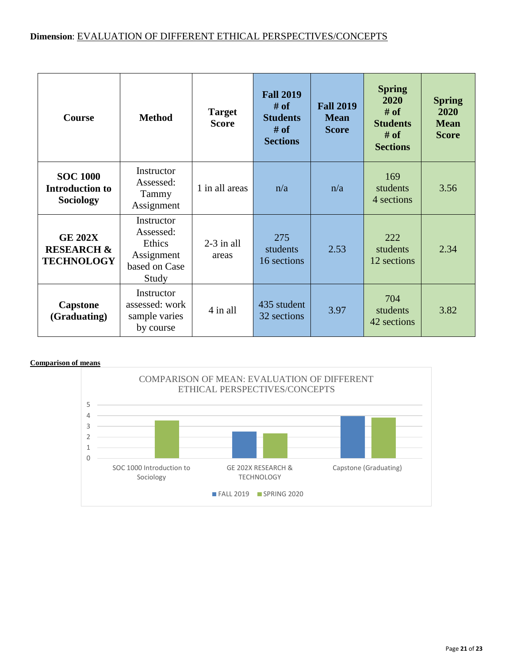## **Dimension**: EVALUATION OF DIFFERENT ETHICAL PERSPECTIVES/CONCEPTS

| <b>Course</b>                                                 | <b>Method</b>                                                             | <b>Target</b><br><b>Score</b> | <b>Fall 2019</b><br># of<br><b>Students</b><br>$#$ of<br><b>Sections</b> | <b>Fall 2019</b><br><b>Mean</b><br><b>Score</b> | <b>Spring</b><br>2020<br>$#$ of<br><b>Students</b><br># of<br><b>Sections</b> | <b>Spring</b><br>2020<br><b>Mean</b><br><b>Score</b> |
|---------------------------------------------------------------|---------------------------------------------------------------------------|-------------------------------|--------------------------------------------------------------------------|-------------------------------------------------|-------------------------------------------------------------------------------|------------------------------------------------------|
| <b>SOC 1000</b><br><b>Introduction to</b><br><b>Sociology</b> | Instructor<br>Assessed:<br>Tammy<br>Assignment                            | 1 in all areas                | n/a                                                                      | n/a                                             | 169<br>students<br>4 sections                                                 | 3.56                                                 |
| <b>GE 202X</b><br><b>RESEARCH &amp;</b><br><b>TECHNOLOGY</b>  | Instructor<br>Assessed:<br>Ethics<br>Assignment<br>based on Case<br>Study | $2-3$ in all<br>areas         | 275<br>students<br>16 sections                                           | 2.53                                            | 222<br>students<br>12 sections                                                | 2.34                                                 |
| <b>Capstone</b><br>(Graduating)                               | Instructor<br>assessed: work<br>sample varies<br>by course                | 4 in all                      | 435 student<br>32 sections                                               | 3.97                                            | 704<br>students<br>42 sections                                                | 3.82                                                 |

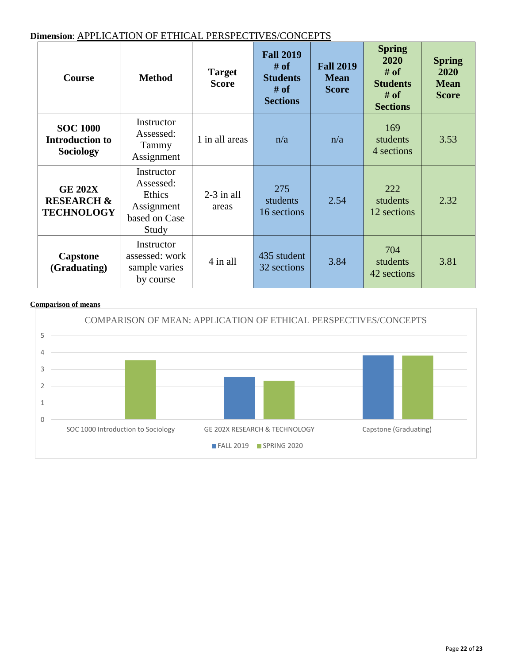### **Dimension**: APPLICATION OF ETHICAL PERSPECTIVES/CONCEPTS

| <b>Course</b>                                                 | <b>Method</b>                                                             | <b>Target</b><br><b>Score</b> | <b>Fall 2019</b><br># of<br><b>Students</b><br># of<br><b>Sections</b> | <b>Fall 2019</b><br><b>Mean</b><br><b>Score</b> | <b>Spring</b><br>2020<br>$#$ of<br><b>Students</b><br># of<br><b>Sections</b> | <b>Spring</b><br>2020<br><b>Mean</b><br><b>Score</b> |
|---------------------------------------------------------------|---------------------------------------------------------------------------|-------------------------------|------------------------------------------------------------------------|-------------------------------------------------|-------------------------------------------------------------------------------|------------------------------------------------------|
| <b>SOC 1000</b><br><b>Introduction to</b><br><b>Sociology</b> | Instructor<br>Assessed:<br>Tammy<br>Assignment                            | 1 in all areas                | n/a                                                                    | n/a                                             | 169<br>students<br>4 sections                                                 | 3.53                                                 |
| <b>GE 202X</b><br><b>RESEARCH &amp;</b><br><b>TECHNOLOGY</b>  | Instructor<br>Assessed:<br>Ethics<br>Assignment<br>based on Case<br>Study | $2-3$ in all<br>areas         | 275<br>students<br>16 sections                                         | 2.54                                            | 222<br>students<br>12 sections                                                | 2.32                                                 |
| Capstone<br>(Graduating)                                      | Instructor<br>assessed: work<br>sample varies<br>by course                | 4 in all                      | 435 student<br>32 sections                                             | 3.84                                            | 704<br>students<br>42 sections                                                | 3.81                                                 |